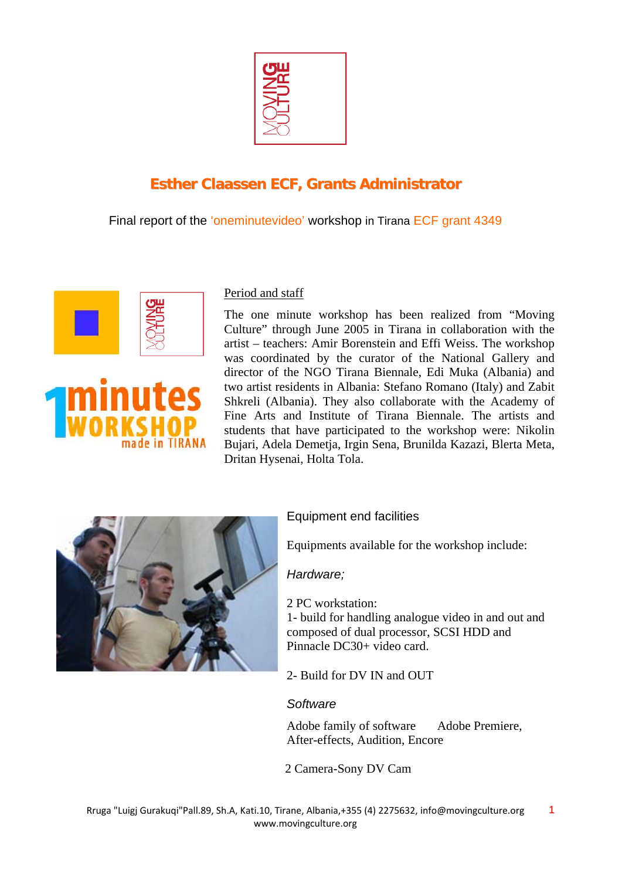

# **Esther Claassen ECF, Grants Administrator**

Final report of the 'oneminutevideo' workshop in Tirana ECF grant 4349



## Period and staff

The one minute workshop has been realized from "Moving Culture" through June 2005 in Tirana in collaboration with the artist – teachers: Amir Borenstein and Effi Weiss. The workshop was coordinated by the curator of the National Gallery and director of the NGO Tirana Biennale, Edi Muka (Albania) and two artist residents in Albania: Stefano Romano (Italy) and Zabit Shkreli (Albania). They also collaborate with the Academy of Fine Arts and Institute of Tirana Biennale. The artists and students that have participated to the workshop were: Nikolin Bujari, Adela Demetja, Irgin Sena, Brunilda Kazazi, Blerta Meta, Dritan Hysenai, Holta Tola.



## Equipment end facilities

Equipments available for the workshop include:

*Hardware;* 

2 PC workstation:

1- build for handling analogue video in and out and composed of dual processor, SCSI HDD and Pinnacle DC30+ video card.

2- Build for DV IN and OUT

## *Software*

Adobe family of software Adobe Premiere, After-effects, Audition, Encore

2 Camera-Sony DV Cam

1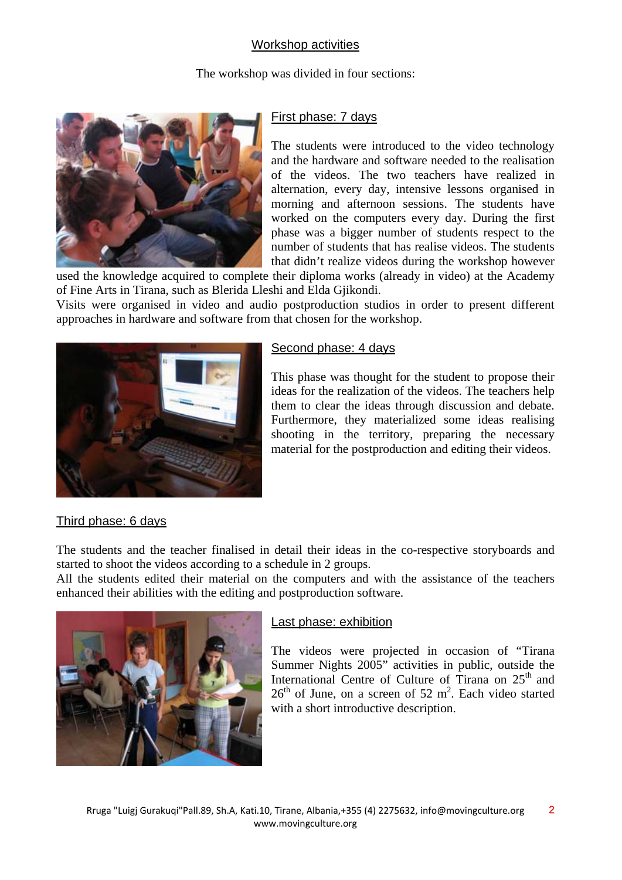## Workshop activities

The workshop was divided in four sections:



## First phase: 7 days

The students were introduced to the video technology and the hardware and software needed to the realisation of the videos. The two teachers have realized in alternation, every day, intensive lessons organised in morning and afternoon sessions. The students have worked on the computers every day. During the first phase was a bigger number of students respect to the number of students that has realise videos. The students that didn't realize videos during the workshop however

used the knowledge acquired to complete their diploma works (already in video) at the Academy of Fine Arts in Tirana, such as Blerida Lleshi and Elda Gjikondi.

Visits were organised in video and audio postproduction studios in order to present different approaches in hardware and software from that chosen for the workshop.



## Second phase: 4 days

This phase was thought for the student to propose their ideas for the realization of the videos. The teachers help them to clear the ideas through discussion and debate. Furthermore, they materialized some ideas realising shooting in the territory, preparing the necessary material for the postproduction and editing their videos.

## Third phase: 6 days

The students and the teacher finalised in detail their ideas in the co-respective storyboards and started to shoot the videos according to a schedule in 2 groups.

All the students edited their material on the computers and with the assistance of the teachers enhanced their abilities with the editing and postproduction software.



### Last phase: exhibition

The videos were projected in occasion of "Tirana Summer Nights 2005" activities in public, outside the International Centre of Culture of Tirana on  $25<sup>th</sup>$  and  $26<sup>th</sup>$  of June, on a screen of 52 m<sup>2</sup>. Each video started with a short introductive description.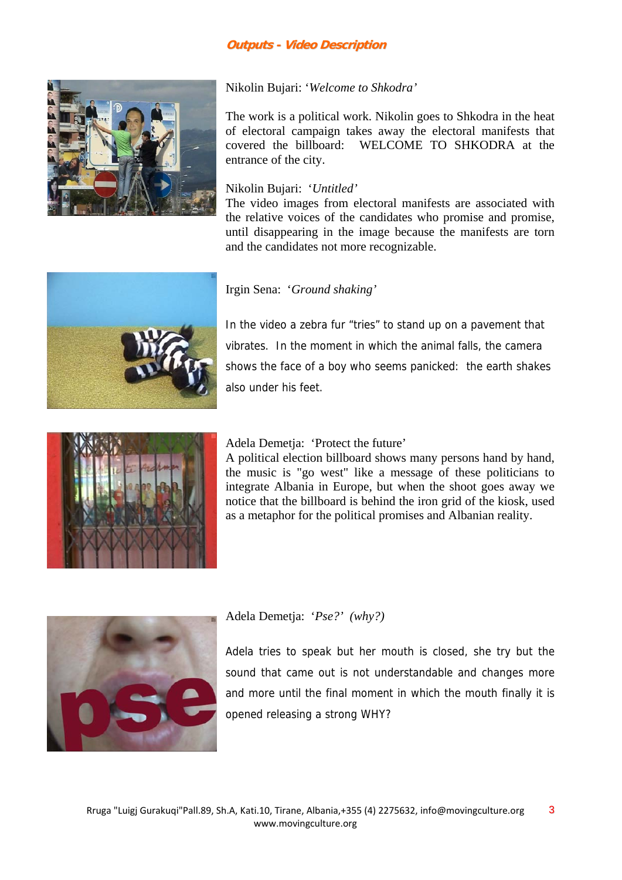#### **Outputs - Video Description**



#### Nikolin Bujari: '*Welcome to Shkodra'*

The work is a political work. Nikolin goes to Shkodra in the heat of electoral campaign takes away the electoral manifests that covered the billboard: WELCOME TO SHKODRA at the entrance of the city.

#### Nikolin Bujari: '*Untitled'*

The video images from electoral manifests are associated with the relative voices of the candidates who promise and promise, until disappearing in the image because the manifests are torn and the candidates not more recognizable.



#### Irgin Sena: '*Ground shaking'*

In the video a zebra fur "tries" to stand up on a pavement that vibrates. In the moment in which the animal falls, the camera shows the face of a boy who seems panicked: the earth shakes also under his feet.



#### Adela Demetja: 'Protect the future'

A political election billboard shows many persons hand by hand, the music is "go west" like a message of these politicians to integrate Albania in Europe, but when the shoot goes away we notice that the billboard is behind the iron grid of the kiosk, used as a metaphor for the political promises and Albanian reality.



#### Adela Demetja: '*Pse?' (why?)*

Adela tries to speak but her mouth is closed, she try but the sound that came out is not understandable and changes more and more until the final moment in which the mouth finally it is opened releasing a strong WHY?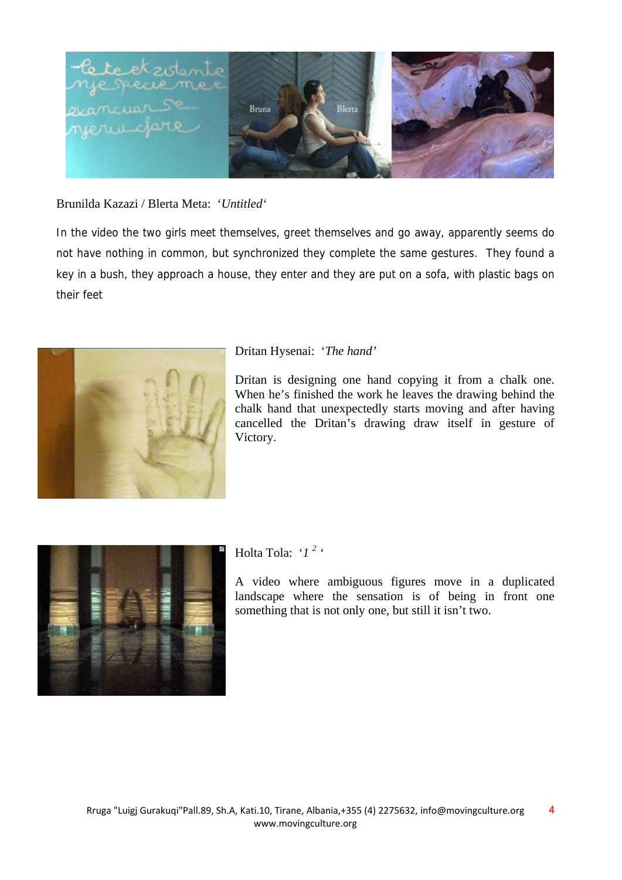

### Brunilda Kazazi / Blerta Meta: '*Untitled'*

In the video the two girls meet themselves, greet themselves and go away, apparently seems do not have nothing in common, but synchronized they complete the same gestures. They found a key in a bush, they approach a house, they enter and they are put on a sofa, with plastic bags on their feet



#### Dritan Hysenai: '*The hand'*

Dritan is designing one hand copying it from a chalk one. When he's finished the work he leaves the drawing behind the chalk hand that unexpectedly starts moving and after having cancelled the Dritan's drawing draw itself in gesture of Victory.



Holta Tola: '1<sup>2</sup>

A video where ambiguous figures move in a duplicated landscape where the sensation is of being in front one something that is not only one, but still it isn't two.